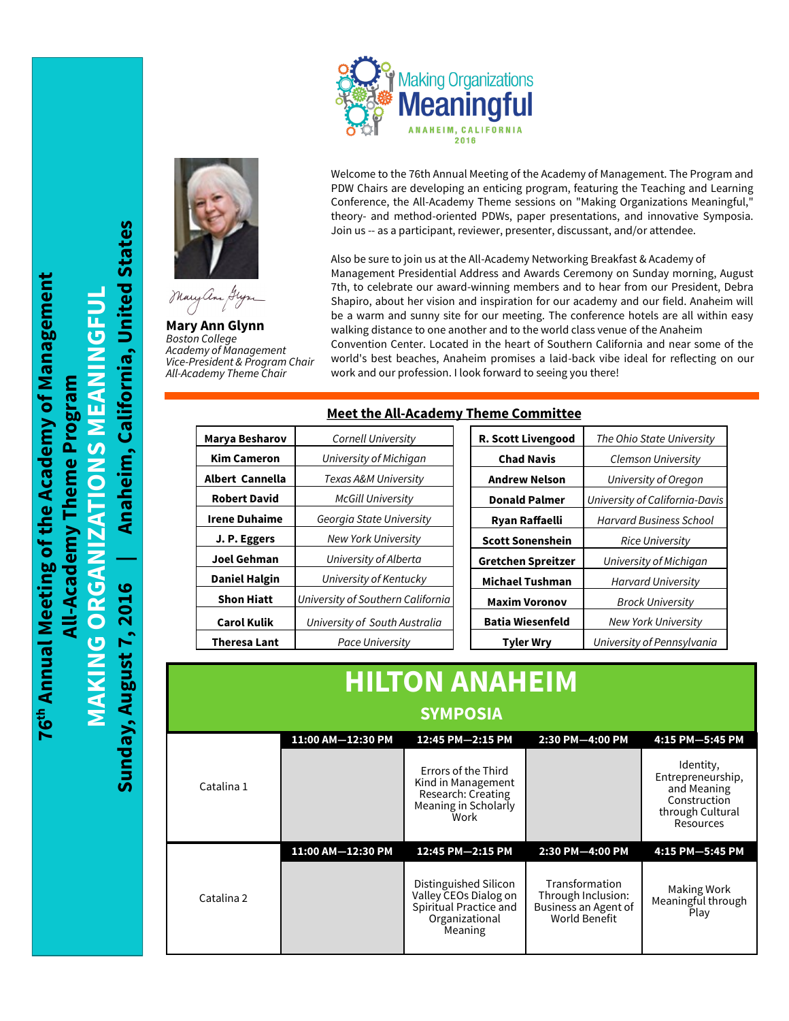



**Mary Ann Glynn** *Boston College Academy of Management Vice-President & Program Chair All-Academy Theme Chair*

Welcome to the 76th Annual Meeting of the Academy of Management. The Program and PDW Chairs are developing an enticing program, featuring the Teaching and Learning Conference, the All-Academy Theme sessions on "Making Organizations Meaningful," theory- and method-oriented PDWs, paper presentations, and innovative Symposia. Join us -- as a participant, reviewer, presenter, discussant, and/or attendee.

Also be sure to join us at the All-Academy Networking Breakfast & Academy of Management Presidential Address and Awards Ceremony on Sunday morning, August 7th, to celebrate our award-winning members and to hear from our President, Debra Shapiro, about her vision and inspiration for our academy and our field. Anaheim will be a warm and sunny site for our meeting. The conference hotels are all within easy walking distance to one another and to the world class venue of the Anaheim Convention Center. Located in the heart of Southern California and near some of the world's best beaches, Anaheim promises a laid-back vibe ideal for reflecting on our work and our profession. I look forward to seeing you there!

## **Meet the All-Academy Theme Committee**

| Marya Besharov       | Cornell University                | R. Scott Livengood      | The Ohio State University      |
|----------------------|-----------------------------------|-------------------------|--------------------------------|
| <b>Kim Cameron</b>   | University of Michigan            | <b>Chad Navis</b>       | Clemson University             |
| Albert Cannella      | Texas A&M University              | <b>Andrew Nelson</b>    | University of Oregon           |
| <b>Robert David</b>  | <b>McGill University</b>          | <b>Donald Palmer</b>    | University of California-Davis |
| <b>Irene Duhaime</b> | Georgia State University          | Ryan Raffaelli          | <b>Harvard Business School</b> |
| J. P. Eggers         | <b>New York University</b>        | <b>Scott Sonenshein</b> | <b>Rice University</b>         |
| <b>Joel Gehman</b>   | University of Alberta             | Gretchen Spreitzer      | University of Michigan         |
| <b>Daniel Halgin</b> | University of Kentucky            | <b>Michael Tushman</b>  | <b>Harvard University</b>      |
| <b>Shon Hiatt</b>    | University of Southern California | <b>Maxim Voronov</b>    | <b>Brock University</b>        |
| <b>Carol Kulik</b>   | University of South Australia     | <b>Batia Wiesenfeld</b> | <b>New York University</b>     |
| <b>Theresa Lant</b>  | Pace University                   | <b>Tyler Wry</b>        | University of Pennsylvania     |

| <b>HILTON ANAHEIM</b> |                   |                                                                                                       |                                                                               |                                                                                                |  |  |
|-----------------------|-------------------|-------------------------------------------------------------------------------------------------------|-------------------------------------------------------------------------------|------------------------------------------------------------------------------------------------|--|--|
| <b>SYMPOSIA</b>       |                   |                                                                                                       |                                                                               |                                                                                                |  |  |
|                       | 11:00 AM-12:30 PM | 12:45 PM-2:15 PM                                                                                      | 2:30 PM-4:00 PM                                                               | 4:15 PM-5:45 PM                                                                                |  |  |
| Catalina 1            |                   | Errors of the Third<br>Kind in Management<br>Research: Creating<br>Meaning in Scholarly<br>Work       |                                                                               | Identity,<br>Entrepreneurship,<br>and Meaning<br>Construction<br>through Cultural<br>Resources |  |  |
|                       | 11:00 AM-12:30 PM | 12:45 PM-2:15 PM                                                                                      | 2:30 PM-4:00 PM                                                               | 4:15 PM-5:45 PM                                                                                |  |  |
| Catalina 2            |                   | Distinguished Silicon<br>Valley CEOs Dialog on<br>Spiritual Practice and<br>Organizational<br>Meaning | Transformation<br>Through Inclusion:<br>Business an Agent of<br>World Benefit | Making Work<br>Meaningful through<br>Play                                                      |  |  |

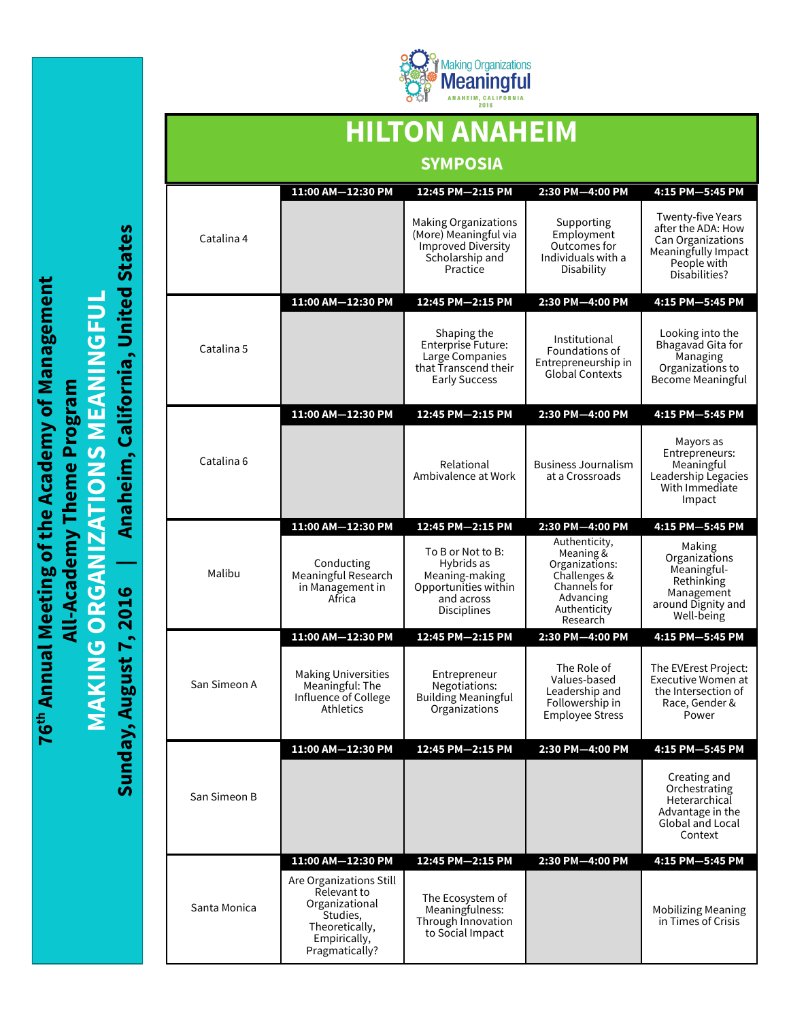

## **HILTON ANAHEIM SYMPOSIA**

|              | 11:00 AM-12:30 PM                                                                                                        | 12:45 PM-2:15 PM                                                                                          | 2:30 PM-4:00 PM                                                                                                       | 4:15 PM-5:45 PM                                                                                                     |
|--------------|--------------------------------------------------------------------------------------------------------------------------|-----------------------------------------------------------------------------------------------------------|-----------------------------------------------------------------------------------------------------------------------|---------------------------------------------------------------------------------------------------------------------|
| Catalina 4   |                                                                                                                          | Making Organizations<br>(More) Meaningful via<br><b>Improved Diversity</b><br>Scholarship and<br>Practice | Supporting<br>Employment<br>Outcomes for<br>Individuals with a<br>Disability                                          | Twenty-five Years<br>after the ADA: How<br>Can Organizations<br>Meaningfully Impact<br>People with<br>Disabilities? |
|              | 11:00 AM-12:30 PM                                                                                                        | 12:45 PM-2:15 PM                                                                                          | 2:30 PM-4:00 PM                                                                                                       | 4:15 PM-5:45 PM                                                                                                     |
| Catalina 5   |                                                                                                                          | Shaping the<br>Enterprise Future:<br>Large Companies<br>that Transcend their<br><b>Early Success</b>      | Institutional<br>Foundations of<br>Entrepreneurship in<br><b>Global Contexts</b>                                      | Looking into the<br>Bhagavad Gita for<br>Managing<br>Organizations to<br>Become Meaningful                          |
|              | 11:00 AM-12:30 PM                                                                                                        | 12:45 PM-2:15 PM                                                                                          | 2:30 PM-4:00 PM                                                                                                       | 4:15 PM-5:45 PM                                                                                                     |
| Catalina 6   |                                                                                                                          | Relational<br>Ambivalence at Work                                                                         | <b>Business Journalism</b><br>at a Crossroads                                                                         | Mayors as<br>Entrepreneurs:<br>Meaningful<br>Leadership Legacies<br>With Immediate<br>Impact                        |
|              | 11:00 AM-12:30 PM                                                                                                        | 12:45 PM-2:15 PM                                                                                          | 2:30 PM-4:00 PM                                                                                                       | 4:15 PM-5:45 PM                                                                                                     |
| Malibu       | Conducting<br>Meaningful Research<br>in Management in<br>Africa                                                          | To B or Not to B:<br>Hybrids as<br>Meaning-making<br>Opportunities within<br>and across<br>Disciplines    | Authenticity,<br>Meaning &<br>Organizations:<br>Challenges &<br>Channels for<br>Advancing<br>Authenticity<br>Research | Making<br>Organizations<br>Meaningful-<br>Rethinking<br>Management<br>around Dignity and<br>Well-being              |
|              | 11:00 AM-12:30 PM                                                                                                        | 12:45 PM-2:15 PM                                                                                          | 2:30 PM-4:00 PM                                                                                                       | 4:15 PM-5:45 PM                                                                                                     |
| San Simeon A | <b>Making Universities</b><br>Meaningful: The<br>Influence of College<br><b>Athletics</b>                                | Entrepreneur<br>Negotiations:<br><b>Building Meaningful</b><br>Organizations                              | The Role of<br>Values-based<br>Leadership and<br>Followership in<br><b>Employee Stress</b>                            | The EVErest Project:<br>Executive Women at<br>the Intersection of<br>Race, Gender &<br>Power                        |
|              | 11:00 AM-12:30 PM                                                                                                        | 12:45 PM-2:15 PM                                                                                          | 2:30 PM-4:00 PM                                                                                                       | 4:15 PM-5:45 PM                                                                                                     |
| San Simeon B |                                                                                                                          |                                                                                                           |                                                                                                                       | Creating and<br>Orchestrating<br>Heterarchical<br>Advantage in the<br>Global and Local<br>Context                   |
|              | 11:00 AM-12:30 PM                                                                                                        | 12:45 PM-2:15 PM                                                                                          | 2:30 PM-4:00 PM                                                                                                       | 4:15 PM-5:45 PM                                                                                                     |
| Santa Monica | Are Organizations Still<br>Relevant to<br>Organizational<br>Studies,<br>Theoretically,<br>Empirically,<br>Pragmatically? | The Ecosystem of<br>Meaningfulness:<br>Through Innovation<br>to Social Impact                             |                                                                                                                       | <b>Mobilizing Meaning</b><br>in Times of Crisis                                                                     |

Anaheim, California, United States **Sunday, August 7, 2016 | Anaheim, California, United States** 76th Annual Meeting of the Academy of Management **76th Annual Meeting of the Academy of Management MAKING ORGANIZATIONS MEANINGFUL MAKING ORGANIZATIONS MEANINGFUL** All-Academy Theme Program **All-Academy Theme Program** Sunday, August 7, 2016